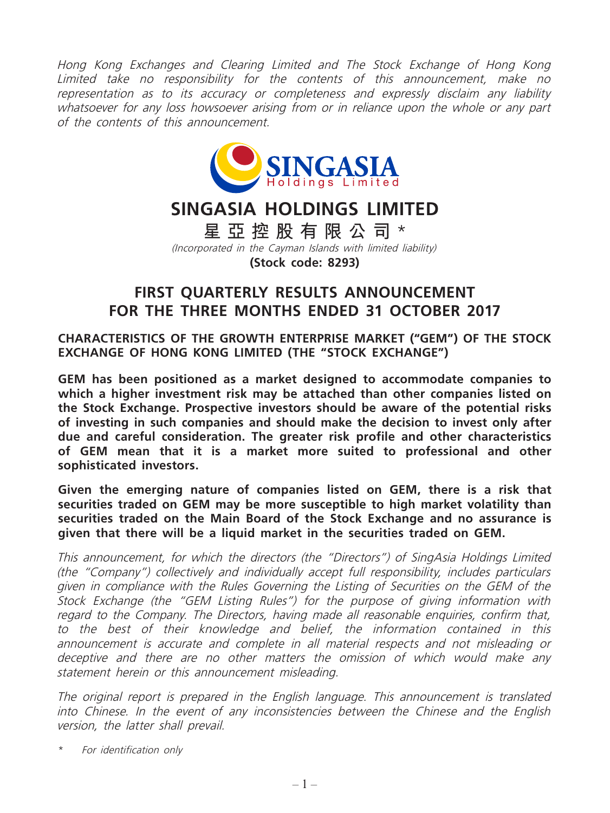Hong Kong Exchanges and Clearing Limited and The Stock Exchange of Hong Kong Limited take no responsibility for the contents of this announcement, make no representation as to its accuracy or completeness and expressly disclaim any liability whatsoever for any loss howsoever arising from or in reliance upon the whole or any part of the contents of this announcement.



# **SINGASIA HOLDINGS LIMITED**

**星亞控股有限公司** \* (Incorporated in the Cayman Islands with limited liability) **(Stock code: 8293)**

## **FIRST QUARTERLY RESULTS ANNOUNCEMENT FOR THE THREE MONTHS ENDED 31 OCTOBER 2017**

**CHARACTERISTICS OF THE GROWTH ENTERPRISE MARKET ("GEM") OF THE STOCK EXCHANGE OF HONG KONG LIMITED (THE "STOCK EXCHANGE")**

**GEM has been positioned as a market designed to accommodate companies to which a higher investment risk may be attached than other companies listed on the Stock Exchange. Prospective investors should be aware of the potential risks of investing in such companies and should make the decision to invest only after due and careful consideration. The greater risk profile and other characteristics of GEM mean that it is a market more suited to professional and other sophisticated investors.**

**Given the emerging nature of companies listed on GEM, there is a risk that securities traded on GEM may be more susceptible to high market volatility than securities traded on the Main Board of the Stock Exchange and no assurance is given that there will be a liquid market in the securities traded on GEM.**

This announcement, for which the directors (the "Directors") of SingAsia Holdings Limited (the "Company") collectively and individually accept full responsibility, includes particulars given in compliance with the Rules Governing the Listing of Securities on the GEM of the Stock Exchange (the "GEM Listing Rules") for the purpose of giving information with regard to the Company. The Directors, having made all reasonable enquiries, confirm that, to the best of their knowledge and belief, the information contained in this announcement is accurate and complete in all material respects and not misleading or deceptive and there are no other matters the omission of which would make any statement herein or this announcement misleading.

The original report is prepared in the English language. This announcement is translated into Chinese. In the event of any inconsistencies between the Chinese and the English version, the latter shall prevail.

For identification only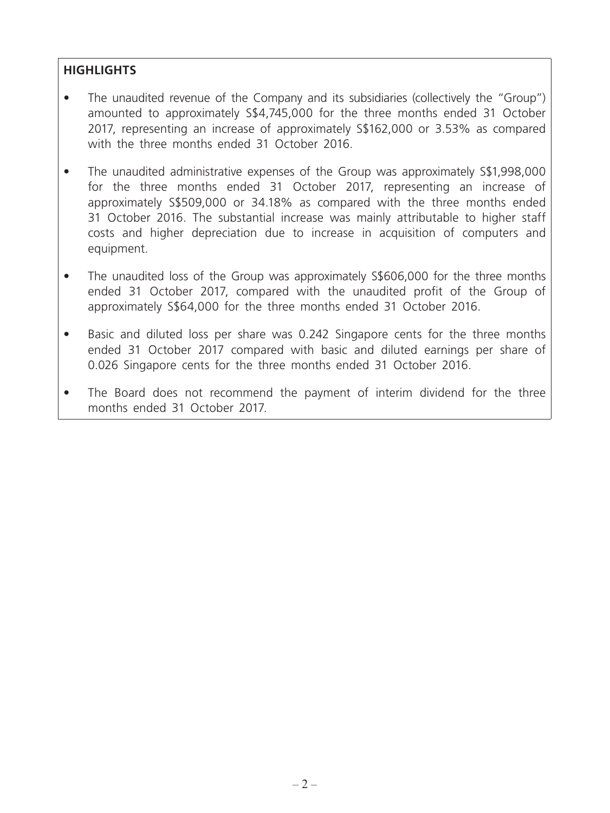## **HIGHLIGHTS**

- The unaudited revenue of the Company and its subsidiaries (collectively the "Group") amounted to approximately S\$4,745,000 for the three months ended 31 October 2017, representing an increase of approximately S\$162,000 or 3.53% as compared with the three months ended 31 October 2016.
- The unaudited administrative expenses of the Group was approximately S\$1,998,000 for the three months ended 31 October 2017, representing an increase of approximately S\$509,000 or 34.18% as compared with the three months ended 31 October 2016. The substantial increase was mainly attributable to higher staff costs and higher depreciation due to increase in acquisition of computers and equipment.
- The unaudited loss of the Group was approximately S\$606,000 for the three months ended 31 October 2017, compared with the unaudited profit of the Group of approximately S\$64,000 for the three months ended 31 October 2016.
- Basic and diluted loss per share was 0.242 Singapore cents for the three months ended 31 October 2017 compared with basic and diluted earnings per share of 0.026 Singapore cents for the three months ended 31 October 2016.
- The Board does not recommend the payment of interim dividend for the three months ended 31 October 2017.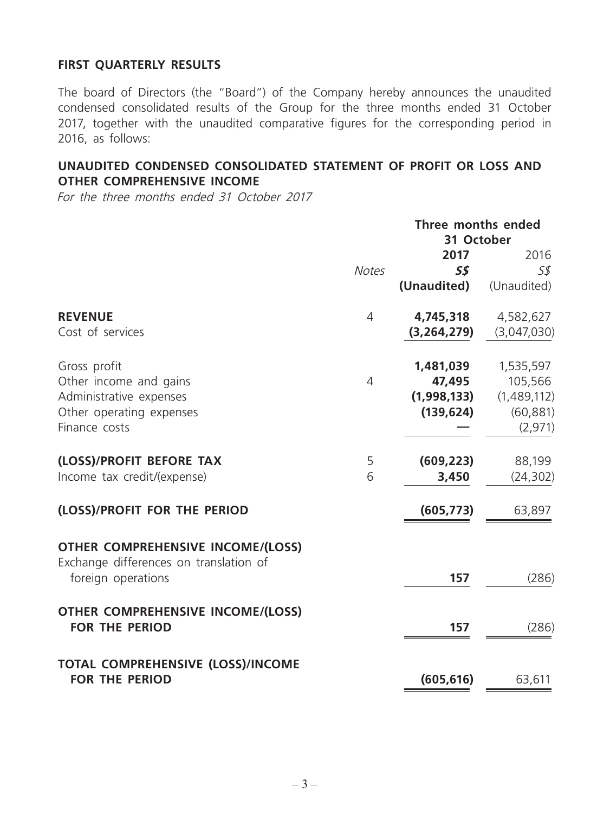## **FIRST QUARTERLY RESULTS**

The board of Directors (the "Board") of the Company hereby announces the unaudited condensed consolidated results of the Group for the three months ended 31 October 2017, together with the unaudited comparative figures for the corresponding period in 2016, as follows:

## **UNAUDITED CONDENSED CONSOLIDATED STATEMENT OF PROFIT OR LOSS AND OTHER COMPREHENSIVE INCOME**

For the three months ended 31 October 2017

|                                                                                    |                | Three months ended |             |  |
|------------------------------------------------------------------------------------|----------------|--------------------|-------------|--|
|                                                                                    | 31 October     |                    |             |  |
|                                                                                    |                | 2017               | 2016        |  |
|                                                                                    | <b>Notes</b>   | S\$                | 5\$         |  |
|                                                                                    |                | (Unaudited)        | (Unaudited) |  |
| <b>REVENUE</b>                                                                     | $\overline{4}$ | 4,745,318          | 4,582,627   |  |
| Cost of services                                                                   |                | (3, 264, 279)      | (3,047,030) |  |
| Gross profit                                                                       |                | 1,481,039          | 1,535,597   |  |
| Other income and gains                                                             | $\overline{4}$ | 47,495             | 105,566     |  |
| Administrative expenses                                                            |                | (1,998,133)        | (1,489,112) |  |
| Other operating expenses                                                           |                | (139, 624)         | (60, 881)   |  |
| Finance costs                                                                      |                |                    | (2,971)     |  |
| (LOSS)/PROFIT BEFORE TAX                                                           | 5              | (609, 223)         | 88,199      |  |
| Income tax credit/(expense)                                                        | 6              | 3,450              | (24, 302)   |  |
| (LOSS)/PROFIT FOR THE PERIOD                                                       |                | (605, 773)         | 63,897      |  |
| <b>OTHER COMPREHENSIVE INCOME/(LOSS)</b><br>Exchange differences on translation of |                |                    |             |  |
| foreign operations                                                                 |                | 157                | (286)       |  |
| <b>OTHER COMPREHENSIVE INCOME/(LOSS)</b>                                           |                |                    |             |  |
| <b>FOR THE PERIOD</b>                                                              |                | 157                | (286)       |  |
| <b>TOTAL COMPREHENSIVE (LOSS)/INCOME</b>                                           |                |                    |             |  |
| <b>FOR THE PERIOD</b>                                                              |                | (605, 616)         | 63,611      |  |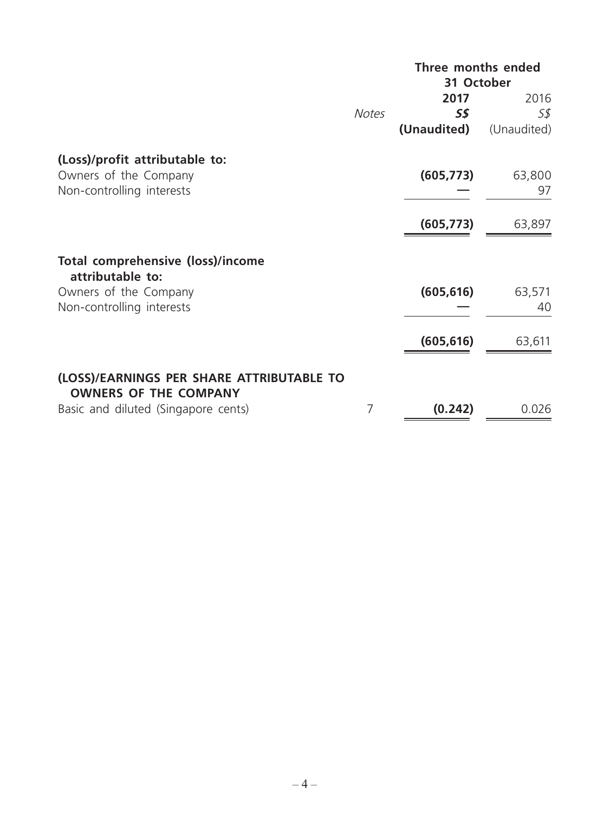|                                                                           |              | Three months ended<br>31 October |              |  |
|---------------------------------------------------------------------------|--------------|----------------------------------|--------------|--|
|                                                                           | <b>Notes</b> | 2017<br>5\$                      | 2016<br>S\$  |  |
|                                                                           |              | (Unaudited)                      | (Unaudited)  |  |
| (Loss)/profit attributable to:                                            |              |                                  |              |  |
| Owners of the Company<br>Non-controlling interests                        |              | (605, 773)                       | 63,800<br>97 |  |
|                                                                           |              | (605, 773)                       | 63,897       |  |
| <b>Total comprehensive (loss)/income</b><br>attributable to:              |              |                                  |              |  |
| Owners of the Company<br>Non-controlling interests                        |              | (605, 616)                       | 63,571<br>40 |  |
|                                                                           |              | (605, 616)                       | 63,611       |  |
| (LOSS)/EARNINGS PER SHARE ATTRIBUTABLE TO<br><b>OWNERS OF THE COMPANY</b> |              |                                  |              |  |
| Basic and diluted (Singapore cents)                                       | 7            | (0.242)                          | 0.026        |  |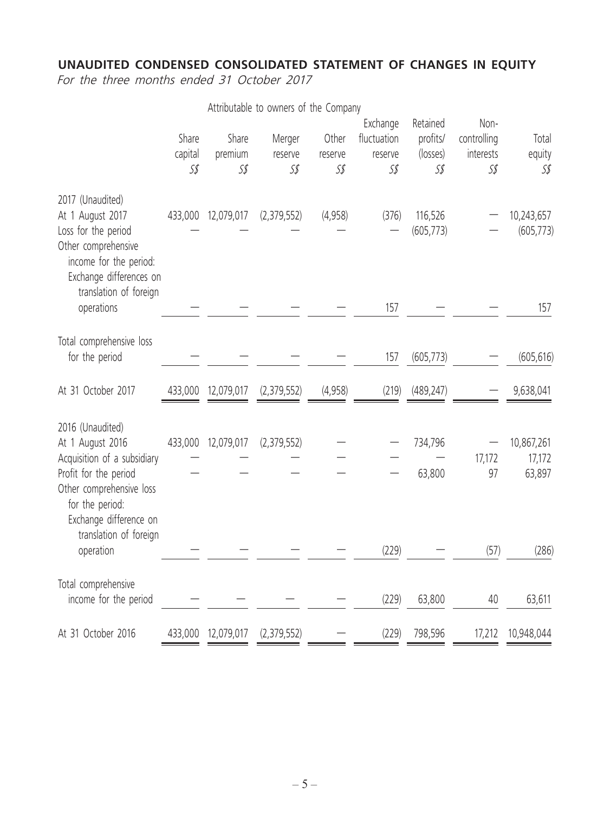## **UNAUDITED CONDENSED CONSOLIDATED STATEMENT OF CHANGES IN EQUITY**

For the three months ended 31 October 2017

|                                                                                                                                                                       |                         |                         | Attributable to owners of the Company |                         |                                           |                                         |                                         |                                |
|-----------------------------------------------------------------------------------------------------------------------------------------------------------------------|-------------------------|-------------------------|---------------------------------------|-------------------------|-------------------------------------------|-----------------------------------------|-----------------------------------------|--------------------------------|
|                                                                                                                                                                       | Share<br>capital<br>S\$ | Share<br>premium<br>S\$ | Merger<br>reserve<br>S\$              | Other<br>reserve<br>S\$ | Exchange<br>fluctuation<br>reserve<br>S\$ | Retained<br>profits/<br>(losses)<br>S\$ | Non-<br>controlling<br>interests<br>S\$ | Total<br>equity<br>S\$         |
| 2017 (Unaudited)<br>At 1 August 2017<br>Loss for the period<br>Other comprehensive<br>income for the period:<br>Exchange differences on<br>translation of foreign     | 433,000                 | 12,079,017              | (2,379,552)                           | (4,958)                 | (376)                                     | 116,526<br>(605, 773)                   |                                         | 10,243,657<br>(605, 773)       |
| operations                                                                                                                                                            |                         |                         |                                       |                         | 157                                       |                                         |                                         | 157                            |
| Total comprehensive loss<br>for the period                                                                                                                            |                         |                         |                                       |                         | 157                                       | (605, 773)                              |                                         | (605, 616)                     |
| At 31 October 2017                                                                                                                                                    | 433,000                 | 12,079,017              | (2,379,552)                           | (4,958)                 | (219)                                     | (489, 247)                              |                                         | 9,638,041                      |
| 2016 (Unaudited)<br>At 1 August 2016<br>Acquisition of a subsidiary<br>Profit for the period<br>Other comprehensive loss<br>for the period:<br>Exchange difference on | 433,000                 | 12,079,017              | (2,379,552)                           |                         |                                           | 734,796<br>63,800                       | 17,172<br>97                            | 10,867,261<br>17,172<br>63,897 |
| translation of foreign<br>operation                                                                                                                                   |                         |                         |                                       |                         | (229)                                     |                                         | (57)                                    | (286)                          |
| Total comprehensive<br>income for the period                                                                                                                          |                         |                         |                                       |                         | (229)                                     | 63,800                                  | 40                                      | 63,611                         |
| At 31 October 2016                                                                                                                                                    |                         | 433,000 12,079,017      | (2,379,552)                           |                         | (229)                                     | 798,596                                 |                                         | 17,212 10,948,044              |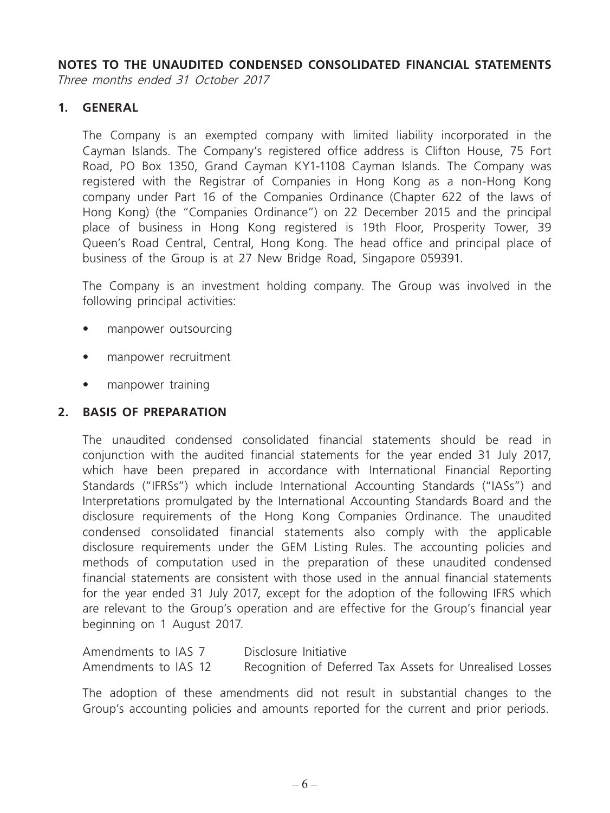**NOTES TO THE UNAUDITED CONDENSED CONSOLIDATED FINANCIAL STATEMENTS**

Three months ended 31 October 2017

## **1. GENERAL**

The Company is an exempted company with limited liability incorporated in the Cayman Islands. The Company's registered office address is Clifton House, 75 Fort Road, PO Box 1350, Grand Cayman KY1-1108 Cayman Islands. The Company was registered with the Registrar of Companies in Hong Kong as a non-Hong Kong company under Part 16 of the Companies Ordinance (Chapter 622 of the laws of Hong Kong) (the "Companies Ordinance") on 22 December 2015 and the principal place of business in Hong Kong registered is 19th Floor, Prosperity Tower, 39 Queen's Road Central, Central, Hong Kong. The head office and principal place of business of the Group is at 27 New Bridge Road, Singapore 059391.

The Company is an investment holding company. The Group was involved in the following principal activities:

- manpower outsourcing
- manpower recruitment
- manpower training

## **2. BASIS OF PREPARATION**

The unaudited condensed consolidated financial statements should be read in conjunction with the audited financial statements for the year ended 31 July 2017, which have been prepared in accordance with International Financial Reporting Standards ("IFRSs") which include International Accounting Standards ("IASs") and Interpretations promulgated by the International Accounting Standards Board and the disclosure requirements of the Hong Kong Companies Ordinance. The unaudited condensed consolidated financial statements also comply with the applicable disclosure requirements under the GEM Listing Rules. The accounting policies and methods of computation used in the preparation of these unaudited condensed financial statements are consistent with those used in the annual financial statements for the year ended 31 July 2017, except for the adoption of the following IFRS which are relevant to the Group's operation and are effective for the Group's financial year beginning on 1 August 2017.

| Amendments to IAS 7  | Disclosure Initiative                                    |
|----------------------|----------------------------------------------------------|
| Amendments to IAS 12 | Recognition of Deferred Tax Assets for Unrealised Losses |

The adoption of these amendments did not result in substantial changes to the Group's accounting policies and amounts reported for the current and prior periods.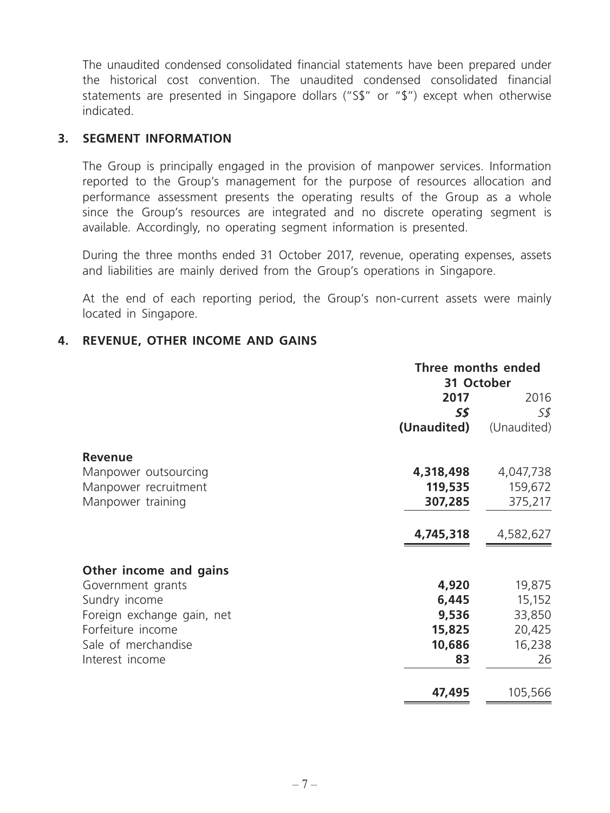The unaudited condensed consolidated financial statements have been prepared under the historical cost convention. The unaudited condensed consolidated financial statements are presented in Singapore dollars ("S\$" or "\$") except when otherwise indicated.

#### **3. SEGMENT INFORMATION**

The Group is principally engaged in the provision of manpower services. Information reported to the Group's management for the purpose of resources allocation and performance assessment presents the operating results of the Group as a whole since the Group's resources are integrated and no discrete operating segment is available. Accordingly, no operating segment information is presented.

During the three months ended 31 October 2017, revenue, operating expenses, assets and liabilities are mainly derived from the Group's operations in Singapore.

At the end of each reporting period, the Group's non-current assets were mainly located in Singapore.

### **4. REVENUE, OTHER INCOME AND GAINS**

|                            | Three months ended<br>31 October |             |  |
|----------------------------|----------------------------------|-------------|--|
|                            | 2017                             | 2016        |  |
|                            | 5\$                              | S\$         |  |
|                            | (Unaudited)                      | (Unaudited) |  |
| <b>Revenue</b>             |                                  |             |  |
| Manpower outsourcing       | 4,318,498                        | 4,047,738   |  |
| Manpower recruitment       | 119,535                          | 159,672     |  |
| Manpower training          | 307,285                          | 375,217     |  |
|                            | 4,745,318                        | 4,582,627   |  |
| Other income and gains     |                                  |             |  |
| Government grants          | 4,920                            | 19,875      |  |
| Sundry income              | 6,445                            | 15,152      |  |
| Foreign exchange gain, net | 9,536                            | 33,850      |  |
| Forfeiture income          | 15,825                           | 20,425      |  |
| Sale of merchandise        | 10,686                           | 16,238      |  |
| Interest income            | 83                               | 26          |  |
|                            | 47,495                           | 105,566     |  |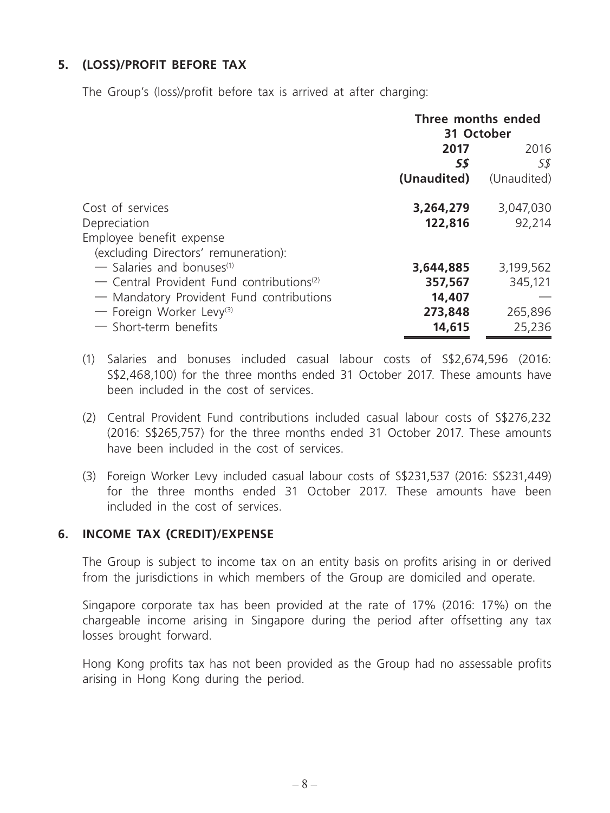## **5. (LOSS)/PROFIT BEFORE TAX**

The Group's (loss)/profit before tax is arrived at after charging:

|                                                            | Three months ended<br>31 October |             |  |
|------------------------------------------------------------|----------------------------------|-------------|--|
|                                                            | 2017<br>2016                     |             |  |
|                                                            | S\$                              | S\$         |  |
|                                                            | (Unaudited)                      | (Unaudited) |  |
| Cost of services                                           | 3,264,279                        | 3,047,030   |  |
| Depreciation                                               | 122,816                          | 92,214      |  |
| Employee benefit expense                                   |                                  |             |  |
| (excluding Directors' remuneration):                       |                                  |             |  |
| $\sim$ Salaries and bonuses <sup>(1)</sup>                 | 3,644,885                        | 3,199,562   |  |
| $\sim$ Central Provident Fund contributions <sup>(2)</sup> | 357,567                          | 345,121     |  |
| - Mandatory Provident Fund contributions                   | 14,407                           |             |  |
| — Foreign Worker Levy <sup>(3)</sup>                       | 273,848                          | 265,896     |  |
| $-$ Short-term benefits                                    | 14,615                           | 25,236      |  |

- (1) Salaries and bonuses included casual labour costs of S\$2,674,596 (2016: S\$2,468,100) for the three months ended 31 October 2017. These amounts have been included in the cost of services.
- (2) Central Provident Fund contributions included casual labour costs of S\$276,232 (2016: S\$265,757) for the three months ended 31 October 2017. These amounts have been included in the cost of services.
- (3) Foreign Worker Levy included casual labour costs of S\$231,537 (2016: S\$231,449) for the three months ended 31 October 2017. These amounts have been included in the cost of services.

#### **6. INCOME TAX (CREDIT)/EXPENSE**

The Group is subject to income tax on an entity basis on profits arising in or derived from the jurisdictions in which members of the Group are domiciled and operate.

Singapore corporate tax has been provided at the rate of 17% (2016: 17%) on the chargeable income arising in Singapore during the period after offsetting any tax losses brought forward.

Hong Kong profits tax has not been provided as the Group had no assessable profits arising in Hong Kong during the period.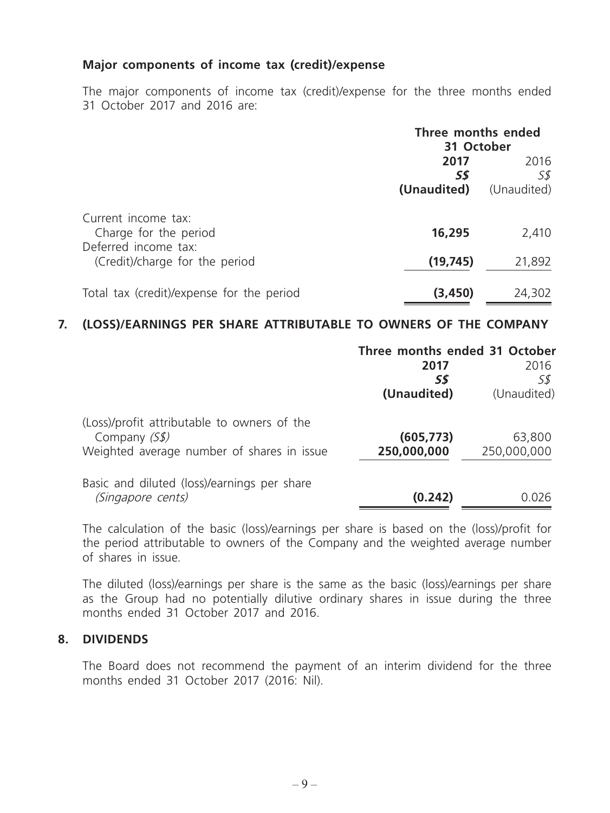#### **Major components of income tax (credit)/expense**

The major components of income tax (credit)/expense for the three months ended 31 October 2017 and 2016 are:

|                                                        | Three months ended<br>31 October |                            |  |
|--------------------------------------------------------|----------------------------------|----------------------------|--|
|                                                        | 2017<br>S\$<br>(Unaudited)       | 2016<br>5\$<br>(Unaudited) |  |
| Current income tax:<br>Charge for the period           | 16,295                           | 2,410                      |  |
| Deferred income tax:<br>(Credit)/charge for the period | (19, 745)                        | 21,892                     |  |
| Total tax (credit)/expense for the period              | (3, 450)                         | 24,302                     |  |

#### **7. (LOSS)/EARNINGS PER SHARE ATTRIBUTABLE TO OWNERS OF THE COMPANY**

|                                                               | Three months ended 31 October |             |
|---------------------------------------------------------------|-------------------------------|-------------|
|                                                               | 2017                          | 2016        |
|                                                               | SS                            | S\$         |
|                                                               | (Unaudited)                   | (Unaudited) |
| (Loss)/profit attributable to owners of the<br>Company $(S$)$ | (605, 773)                    | 63,800      |
| Weighted average number of shares in issue                    | 250,000,000                   | 250,000,000 |
| Basic and diluted (loss)/earnings per share                   |                               |             |
| (Singapore cents)                                             | (0.242)                       | 0.026       |
|                                                               |                               |             |

The calculation of the basic (loss)/earnings per share is based on the (loss)/profit for the period attributable to owners of the Company and the weighted average number of shares in issue.

The diluted (loss)/earnings per share is the same as the basic (loss)/earnings per share as the Group had no potentially dilutive ordinary shares in issue during the three months ended 31 October 2017 and 2016.

#### **8. DIVIDENDS**

The Board does not recommend the payment of an interim dividend for the three months ended 31 October 2017 (2016: Nil).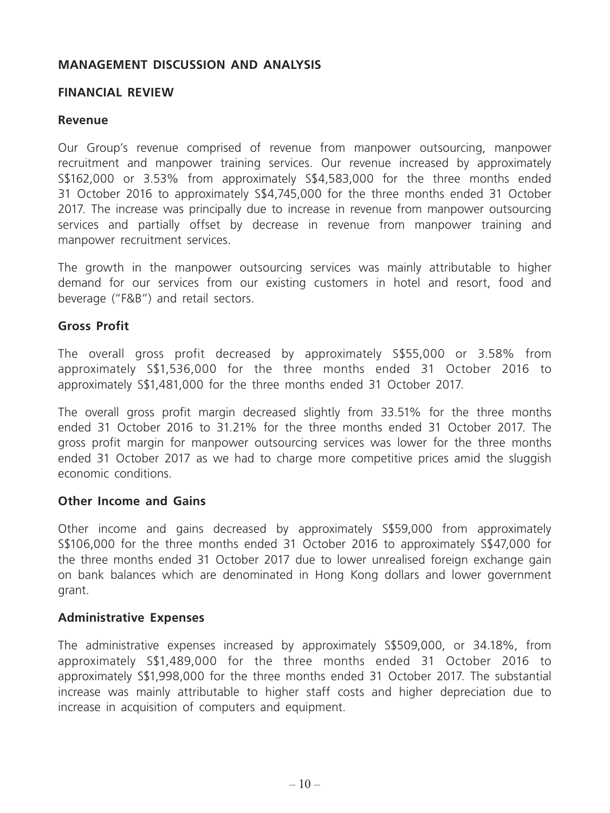#### **MANAGEMENT DISCUSSION AND ANALYSIS**

#### **FINANCIAL REVIEW**

#### **Revenue**

Our Group's revenue comprised of revenue from manpower outsourcing, manpower recruitment and manpower training services. Our revenue increased by approximately S\$162,000 or 3.53% from approximately S\$4,583,000 for the three months ended 31 October 2016 to approximately S\$4,745,000 for the three months ended 31 October 2017. The increase was principally due to increase in revenue from manpower outsourcing services and partially offset by decrease in revenue from manpower training and manpower recruitment services.

The growth in the manpower outsourcing services was mainly attributable to higher demand for our services from our existing customers in hotel and resort, food and beverage ("F&B") and retail sectors.

#### **Gross Profit**

The overall gross profit decreased by approximately S\$55,000 or 3.58% from approximately S\$1,536,000 for the three months ended 31 October 2016 to approximately S\$1,481,000 for the three months ended 31 October 2017.

The overall gross profit margin decreased slightly from 33.51% for the three months ended 31 October 2016 to 31.21% for the three months ended 31 October 2017. The gross profit margin for manpower outsourcing services was lower for the three months ended 31 October 2017 as we had to charge more competitive prices amid the sluggish economic conditions.

#### **Other Income and Gains**

Other income and gains decreased by approximately S\$59,000 from approximately S\$106,000 for the three months ended 31 October 2016 to approximately S\$47,000 for the three months ended 31 October 2017 due to lower unrealised foreign exchange gain on bank balances which are denominated in Hong Kong dollars and lower government grant.

#### **Administrative Expenses**

The administrative expenses increased by approximately S\$509,000, or 34.18%, from approximately S\$1,489,000 for the three months ended 31 October 2016 to approximately S\$1,998,000 for the three months ended 31 October 2017. The substantial increase was mainly attributable to higher staff costs and higher depreciation due to increase in acquisition of computers and equipment.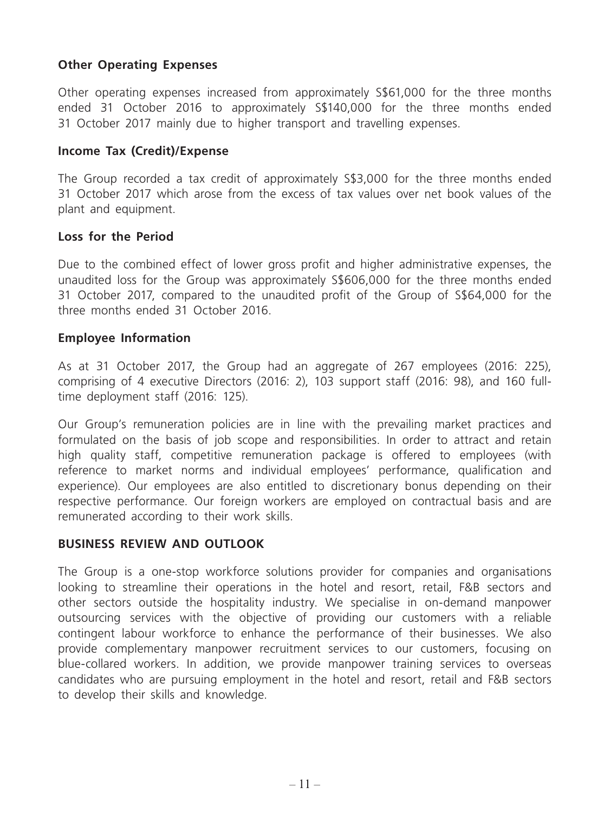## **Other Operating Expenses**

Other operating expenses increased from approximately S\$61,000 for the three months ended 31 October 2016 to approximately S\$140,000 for the three months ended 31 October 2017 mainly due to higher transport and travelling expenses.

#### **Income Tax (Credit)/Expense**

The Group recorded a tax credit of approximately S\$3,000 for the three months ended 31 October 2017 which arose from the excess of tax values over net book values of the plant and equipment.

#### **Loss for the Period**

Due to the combined effect of lower gross profit and higher administrative expenses, the unaudited loss for the Group was approximately S\$606,000 for the three months ended 31 October 2017, compared to the unaudited profit of the Group of S\$64,000 for the three months ended 31 October 2016.

#### **Employee Information**

As at 31 October 2017, the Group had an aggregate of 267 employees (2016: 225), comprising of 4 executive Directors (2016: 2), 103 support staff (2016: 98), and 160 fulltime deployment staff (2016: 125).

Our Group's remuneration policies are in line with the prevailing market practices and formulated on the basis of job scope and responsibilities. In order to attract and retain high quality staff, competitive remuneration package is offered to employees (with reference to market norms and individual employees' performance, qualification and experience). Our employees are also entitled to discretionary bonus depending on their respective performance. Our foreign workers are employed on contractual basis and are remunerated according to their work skills.

#### **BUSINESS REVIEW AND OUTLOOK**

The Group is a one-stop workforce solutions provider for companies and organisations looking to streamline their operations in the hotel and resort, retail, F&B sectors and other sectors outside the hospitality industry. We specialise in on-demand manpower outsourcing services with the objective of providing our customers with a reliable contingent labour workforce to enhance the performance of their businesses. We also provide complementary manpower recruitment services to our customers, focusing on blue-collared workers. In addition, we provide manpower training services to overseas candidates who are pursuing employment in the hotel and resort, retail and F&B sectors to develop their skills and knowledge.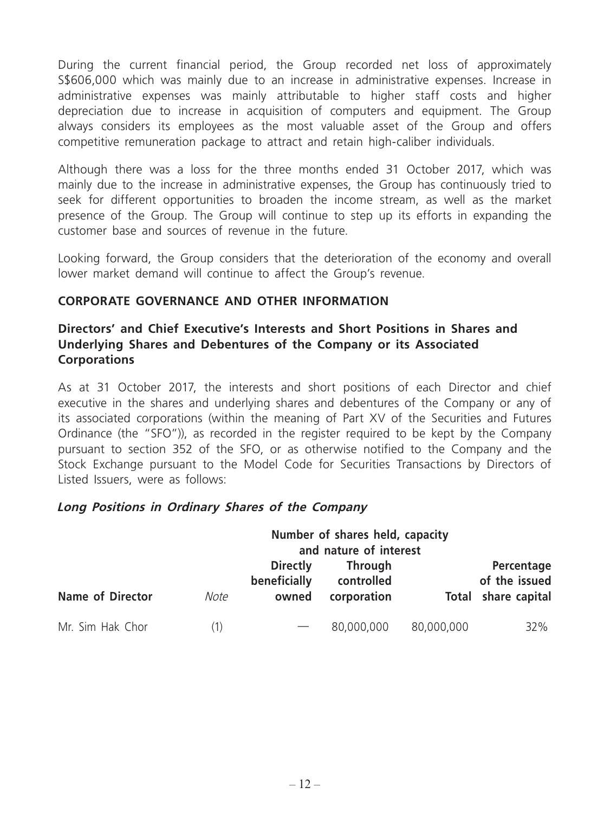During the current financial period, the Group recorded net loss of approximately S\$606,000 which was mainly due to an increase in administrative expenses. Increase in administrative expenses was mainly attributable to higher staff costs and higher depreciation due to increase in acquisition of computers and equipment. The Group always considers its employees as the most valuable asset of the Group and offers competitive remuneration package to attract and retain high-caliber individuals.

Although there was a loss for the three months ended 31 October 2017, which was mainly due to the increase in administrative expenses, the Group has continuously tried to seek for different opportunities to broaden the income stream, as well as the market presence of the Group. The Group will continue to step up its efforts in expanding the customer base and sources of revenue in the future.

Looking forward, the Group considers that the deterioration of the economy and overall lower market demand will continue to affect the Group's revenue.

## **CORPORATE GOVERNANCE AND OTHER INFORMATION**

## **Directors' and Chief Executive's Interests and Short Positions in Shares and Underlying Shares and Debentures of the Company or its Associated Corporations**

As at 31 October 2017, the interests and short positions of each Director and chief executive in the shares and underlying shares and debentures of the Company or any of its associated corporations (within the meaning of Part XV of the Securities and Futures Ordinance (the "SFO")), as recorded in the register required to be kept by the Company pursuant to section 352 of the SFO, or as otherwise notified to the Company and the Stock Exchange pursuant to the Model Code for Securities Transactions by Directors of Listed Issuers, were as follows:

#### **Long Positions in Ordinary Shares of the Company**

| Name of Director |      | Number of shares held, capacity<br>and nature of interest |                                             |            |                                                    |  |
|------------------|------|-----------------------------------------------------------|---------------------------------------------|------------|----------------------------------------------------|--|
|                  | Note | <b>Directly</b><br>beneficially<br>owned                  | <b>Through</b><br>controlled<br>corporation |            | Percentage<br>of the issued<br>Total share capital |  |
| Mr. Sim Hak Chor |      |                                                           | 80,000,000                                  | 80,000,000 | 32%                                                |  |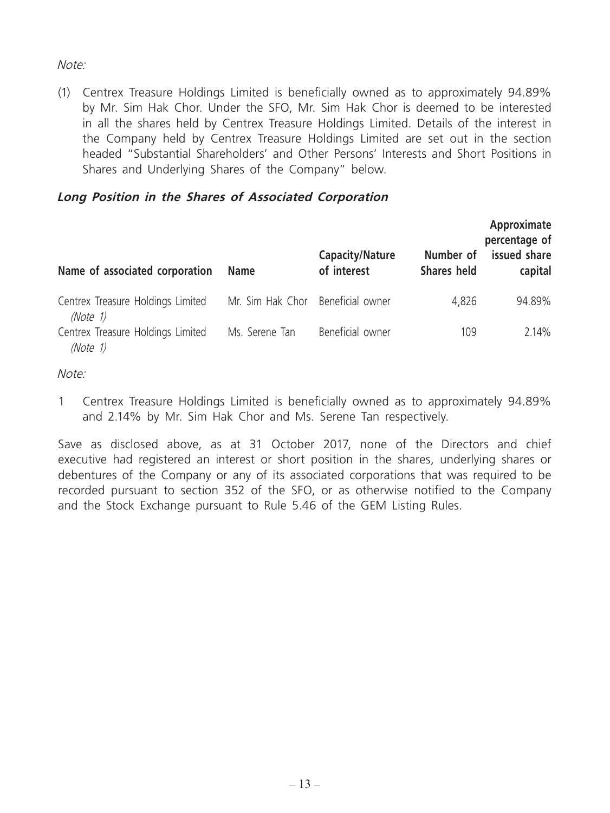## Note:

(1) Centrex Treasure Holdings Limited is beneficially owned as to approximately 94.89% by Mr. Sim Hak Chor. Under the SFO, Mr. Sim Hak Chor is deemed to be interested in all the shares held by Centrex Treasure Holdings Limited. Details of the interest in the Company held by Centrex Treasure Holdings Limited are set out in the section headed "Substantial Shareholders' and Other Persons' Interests and Short Positions in Shares and Underlying Shares of the Company" below.

## **Long Position in the Shares of Associated Corporation**

| Name of associated corporation                | <b>Name</b>                       | <b>Capacity/Nature</b><br>of interest | Number of<br><b>Shares held</b> | Approximate<br>percentage of<br>issued share<br>capital |
|-----------------------------------------------|-----------------------------------|---------------------------------------|---------------------------------|---------------------------------------------------------|
| Centrex Treasure Holdings Limited<br>(Note 1) | Mr. Sim Hak Chor Beneficial owner |                                       | 4,826                           | 94.89%                                                  |
| Centrex Treasure Holdings Limited<br>(Note 1) | Ms. Serene Tan                    | Beneficial owner                      | 109                             | 2.14%                                                   |

#### Note:

1 Centrex Treasure Holdings Limited is beneficially owned as to approximately 94.89% and 2.14% by Mr. Sim Hak Chor and Ms. Serene Tan respectively.

Save as disclosed above, as at 31 October 2017, none of the Directors and chief executive had registered an interest or short position in the shares, underlying shares or debentures of the Company or any of its associated corporations that was required to be recorded pursuant to section 352 of the SFO, or as otherwise notified to the Company and the Stock Exchange pursuant to Rule 5.46 of the GEM Listing Rules.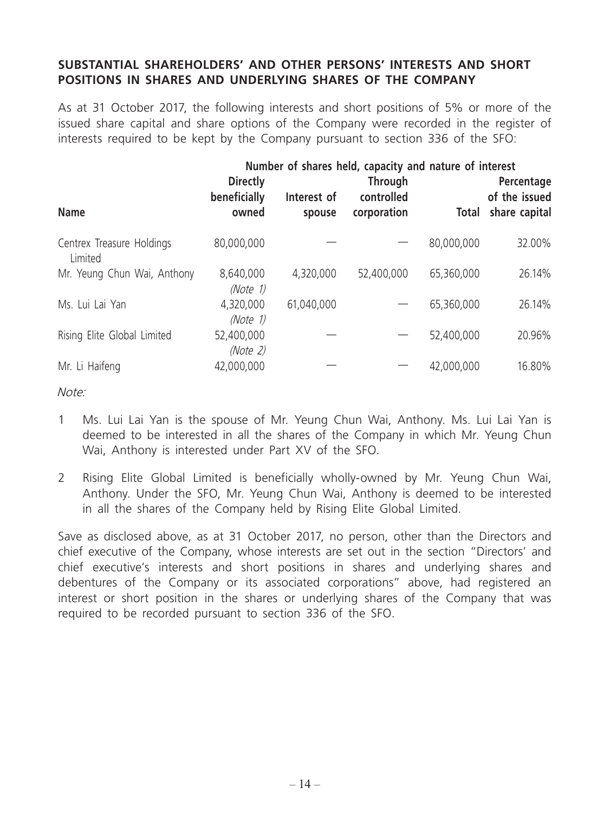## **SUBSTANTIAL SHAREHOLDERS' AND OTHER PERSONS' INTERESTS AND SHORT POSITIONS IN SHARES AND UNDERLYING SHARES OF THE COMPANY**

As at 31 October 2017, the following interests and short positions of 5% or more of the issued share capital and share options of the Company were recorded in the register of interests required to be kept by the Company pursuant to section 336 of the SFO:

|                                      |                                          | Number of shares held, capacity and nature of interest |                                             |              |                                              |
|--------------------------------------|------------------------------------------|--------------------------------------------------------|---------------------------------------------|--------------|----------------------------------------------|
| <b>Name</b>                          | <b>Directly</b><br>beneficially<br>owned | Interest of<br>spouse                                  | <b>Through</b><br>controlled<br>corporation | <b>Total</b> | Percentage<br>of the issued<br>share capital |
| Centrex Treasure Holdings<br>Limited | 80,000,000                               |                                                        |                                             | 80,000,000   | 32.00%                                       |
| Mr. Yeung Chun Wai, Anthony          | 8,640,000<br>(Note 1)                    | 4,320,000                                              | 52,400,000                                  | 65,360,000   | 26.14%                                       |
| Ms. Lui Lai Yan                      | 4,320,000<br>(Note 1)                    | 61,040,000                                             |                                             | 65,360,000   | 26.14%                                       |
| Rising Elite Global Limited          | 52,400,000<br>(Note 2)                   |                                                        |                                             | 52,400,000   | 20.96%                                       |
| Mr. Li Haifeng                       | 42,000,000                               |                                                        |                                             | 42,000,000   | 16.80%                                       |

Note:

- 1 Ms. Lui Lai Yan is the spouse of Mr. Yeung Chun Wai, Anthony. Ms. Lui Lai Yan is deemed to be interested in all the shares of the Company in which Mr. Yeung Chun Wai, Anthony is interested under Part XV of the SFO.
- 2 Rising Elite Global Limited is beneficially wholly-owned by Mr. Yeung Chun Wai, Anthony. Under the SFO, Mr. Yeung Chun Wai, Anthony is deemed to be interested in all the shares of the Company held by Rising Elite Global Limited.

Save as disclosed above, as at 31 October 2017, no person, other than the Directors and chief executive of the Company, whose interests are set out in the section "Directors' and chief executive's interests and short positions in shares and underlying shares and debentures of the Company or its associated corporations" above, had registered an interest or short position in the shares or underlying shares of the Company that was required to be recorded pursuant to section 336 of the SFO.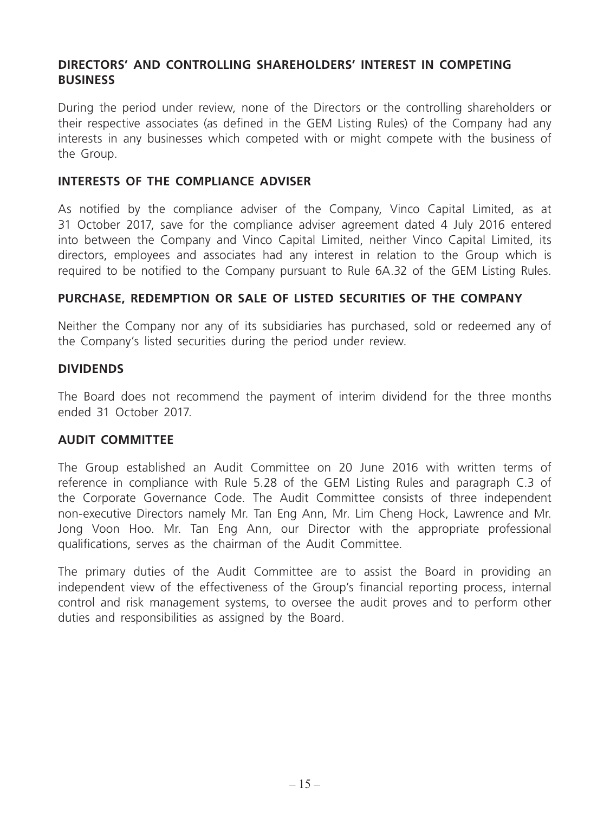## **DIRECTORS' AND CONTROLLING SHAREHOLDERS' INTEREST IN COMPETING BUSINESS**

During the period under review, none of the Directors or the controlling shareholders or their respective associates (as defined in the GEM Listing Rules) of the Company had any interests in any businesses which competed with or might compete with the business of the Group.

#### **INTERESTS OF THE COMPLIANCE ADVISER**

As notified by the compliance adviser of the Company, Vinco Capital Limited, as at 31 October 2017, save for the compliance adviser agreement dated 4 July 2016 entered into between the Company and Vinco Capital Limited, neither Vinco Capital Limited, its directors, employees and associates had any interest in relation to the Group which is required to be notified to the Company pursuant to Rule 6A.32 of the GEM Listing Rules.

### **PURCHASE, REDEMPTION OR SALE OF LISTED SECURITIES OF THE COMPANY**

Neither the Company nor any of its subsidiaries has purchased, sold or redeemed any of the Company's listed securities during the period under review.

#### **DIVIDENDS**

The Board does not recommend the payment of interim dividend for the three months ended 31 October 2017.

#### **AUDIT COMMITTEE**

The Group established an Audit Committee on 20 June 2016 with written terms of reference in compliance with Rule 5.28 of the GEM Listing Rules and paragraph C.3 of the Corporate Governance Code. The Audit Committee consists of three independent non-executive Directors namely Mr. Tan Eng Ann, Mr. Lim Cheng Hock, Lawrence and Mr. Jong Voon Hoo. Mr. Tan Eng Ann, our Director with the appropriate professional qualifications, serves as the chairman of the Audit Committee.

The primary duties of the Audit Committee are to assist the Board in providing an independent view of the effectiveness of the Group's financial reporting process, internal control and risk management systems, to oversee the audit proves and to perform other duties and responsibilities as assigned by the Board.